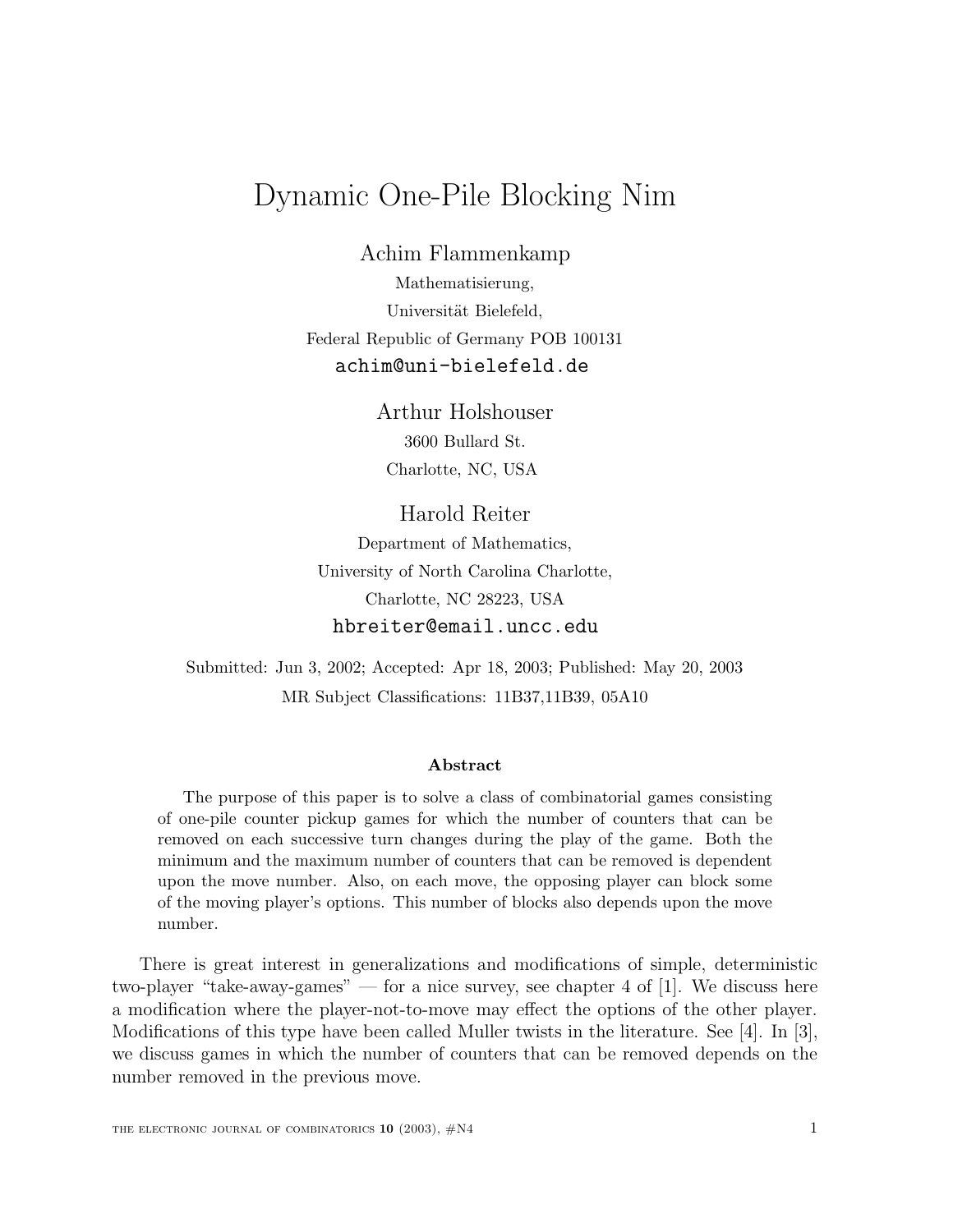## Dynamic One-Pile Blocking Nim

Achim Flammenkamp

Mathematisierung, Universität Bielefeld, Federal Republic of Germany POB 100131 achim@uni-bielefeld.de

> Arthur Holshouser 3600 Bullard St. Charlotte, NC, USA

Harold Reiter Department of Mathematics, University of North Carolina Charlotte, Charlotte, NC 28223, USA hbreiter@email.uncc.edu

Submitted: Jun 3, 2002; Accepted: Apr 18, 2003; Published: May 20, 2003 MR Subject Classifications: 11B37,11B39, 05A10

## **Abstract**

The purpose of this paper is to solve a class of combinatorial games consisting of one-pile counter pickup games for which the number of counters that can be removed on each successive turn changes during the play of the game. Both the minimum and the maximum number of counters that can be removed is dependent upon the move number. Also, on each move, the opposing player can block some of the moving player's options. This number of blocks also depends upon the move number.

There is great interest in generalizations and modifications of simple, deterministic two-player "take-away-games" — for a nice survey, see chapter 4 of [1]. We discuss here a modification where the player-not-to-move may effect the options of the other player. Modifications of this type have been called Muller twists in the literature. See [4]. In [3], we discuss games in which the number of counters that can be removed depends on the number removed in the previous move.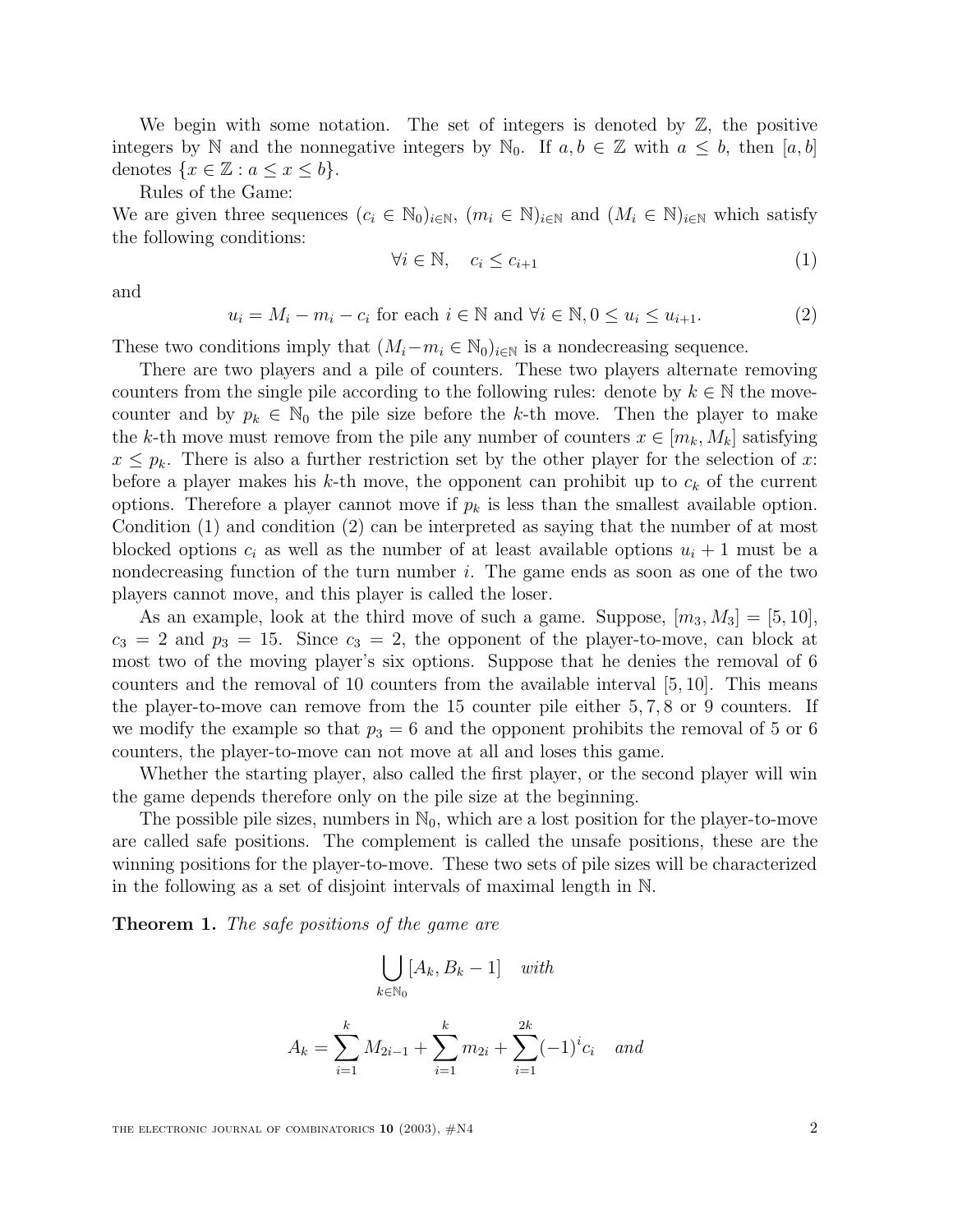We begin with some notation. The set of integers is denoted by Z, the positive integers by N and the nonnegative integers by N<sub>0</sub>. If  $a, b \in \mathbb{Z}$  with  $a \leq b$ , then [a, b] denotes  $\{x \in \mathbb{Z} : a \leq x \leq b\}.$ 

Rules of the Game:

We are given three sequences  $(c_i \in \mathbb{N}_0)_{i\in\mathbb{N}}$ ,  $(m_i \in \mathbb{N})_{i\in\mathbb{N}}$  and  $(M_i \in \mathbb{N})_{i\in\mathbb{N}}$  which satisfy the following conditions:

$$
\forall i \in \mathbb{N}, \quad c_i \le c_{i+1} \tag{1}
$$

and

 $u_i = M_i - m_i - c_i$  for each  $i \in \mathbb{N}$  and  $\forall i \in \mathbb{N}, 0 \le u_i \le u_{i+1}.$  (2)

These two conditions imply that  $(M_i-m_i \in \mathbb{N}_0)_{i\in\mathbb{N}}$  is a nondecreasing sequence.

There are two players and a pile of counters. These two players alternate removing counters from the single pile according to the following rules: denote by  $k \in \mathbb{N}$  the movecounter and by  $p_k \in \mathbb{N}_0$  the pile size before the k-th move. Then the player to make the k-th move must remove from the pile any number of counters  $x \in [m_k, M_k]$  satisfying  $x \leq p_k$ . There is also a further restriction set by the other player for the selection of x: before a player makes his k-th move, the opponent can prohibit up to  $c_k$  of the current options. Therefore a player cannot move if  $p_k$  is less than the smallest available option. Condition (1) and condition (2) can be interpreted as saying that the number of at most blocked options  $c_i$  as well as the number of at least available options  $u_i + 1$  must be a nondecreasing function of the turn number  $i$ . The game ends as soon as one of the two players cannot move, and this player is called the loser.

As an example, look at the third move of such a game. Suppose,  $[m_3, M_3] = [5, 10]$ ,  $c_3 = 2$  and  $p_3 = 15$ . Since  $c_3 = 2$ , the opponent of the player-to-move, can block at most two of the moving player's six options. Suppose that he denies the removal of 6 counters and the removal of 10 counters from the available interval [5, 10]. This means the player-to-move can remove from the 15 counter pile either 5, 7, 8 or 9 counters. If we modify the example so that  $p_3 = 6$  and the opponent prohibits the removal of 5 or 6 counters, the player-to-move can not move at all and loses this game.

Whether the starting player, also called the first player, or the second player will win the game depends therefore only on the pile size at the beginning.

The possible pile sizes, numbers in  $\mathbb{N}_0$ , which are a lost position for the player-to-move are called safe positions. The complement is called the unsafe positions, these are the winning positions for the player-to-move. These two sets of pile sizes will be characterized in the following as a set of disjoint intervals of maximal length in N.

**Theorem 1.** The safe positions of the game are

$$
\bigcup_{k \in \mathbb{N}_0} [A_k, B_k - 1] \quad with
$$

$$
A_k = \sum_{i=1}^k M_{2i-1} + \sum_{i=1}^k m_{2i} + \sum_{i=1}^{2k} (-1)^i c_i \quad and
$$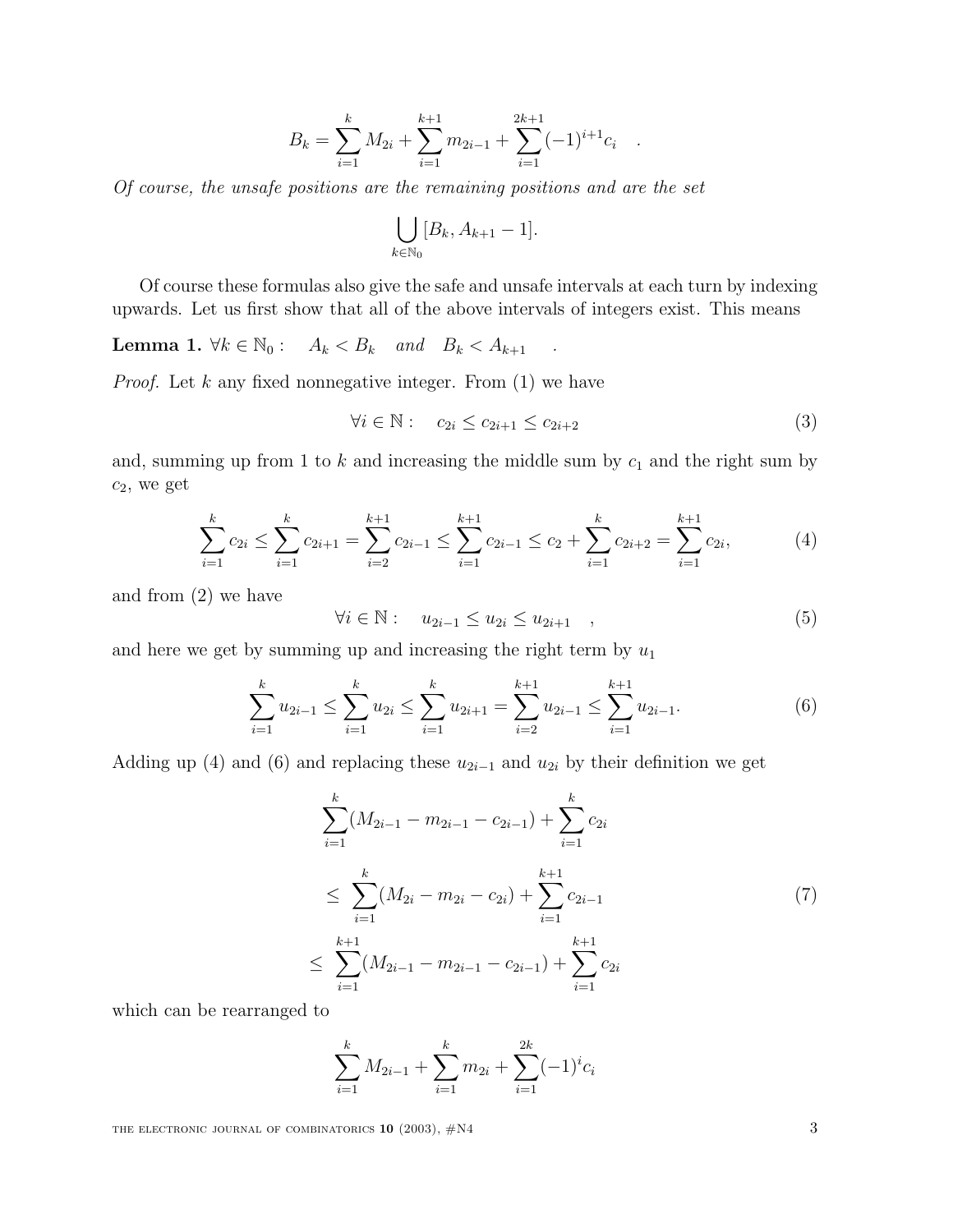$$
B_k = \sum_{i=1}^k M_{2i} + \sum_{i=1}^{k+1} m_{2i-1} + \sum_{i=1}^{2k+1} (-1)^{i+1} c_i.
$$

Of course, the unsafe positions are the remaining positions and are the set

$$
\bigcup_{k\in\mathbb{N}_0}[B_k,A_{k+1}-1].
$$

Of course these formulas also give the safe and unsafe intervals at each turn by indexing upwards. Let us first show that all of the above intervals of integers exist. This means

**Lemma 1.**  $\forall k \in \mathbb{N}_0: A_k < B_k$  and  $B_k < A_{k+1}$ .

*Proof.* Let  $k$  any fixed nonnegative integer. From  $(1)$  we have

$$
\forall i \in \mathbb{N}: \quad c_{2i} \le c_{2i+1} \le c_{2i+2} \tag{3}
$$

and, summing up from 1 to  $k$  and increasing the middle sum by  $c_1$  and the right sum by  $c_2$ , we get

$$
\sum_{i=1}^{k} c_{2i} \le \sum_{i=1}^{k} c_{2i+1} = \sum_{i=2}^{k+1} c_{2i-1} \le \sum_{i=1}^{k+1} c_{2i-1} \le c_2 + \sum_{i=1}^{k} c_{2i+2} = \sum_{i=1}^{k+1} c_{2i}, \tag{4}
$$

and from (2) we have

$$
\forall i \in \mathbb{N}: \quad u_{2i-1} \le u_{2i} \le u_{2i+1} \quad , \tag{5}
$$

and here we get by summing up and increasing the right term by  $u_1$ 

$$
\sum_{i=1}^{k} u_{2i-1} \le \sum_{i=1}^{k} u_{2i} \le \sum_{i=1}^{k} u_{2i+1} = \sum_{i=2}^{k+1} u_{2i-1} \le \sum_{i=1}^{k+1} u_{2i-1}.
$$
 (6)

Adding up (4) and (6) and replacing these  $u_{2i-1}$  and  $u_{2i}$  by their definition we get

$$
\sum_{i=1}^{k} (M_{2i-1} - m_{2i-1} - c_{2i-1}) + \sum_{i=1}^{k} c_{2i}
$$
\n
$$
\leq \sum_{i=1}^{k} (M_{2i} - m_{2i} - c_{2i}) + \sum_{i=1}^{k+1} c_{2i-1}
$$
\n
$$
\leq \sum_{i=1}^{k+1} (M_{2i-1} - m_{2i-1} - c_{2i-1}) + \sum_{i=1}^{k+1} c_{2i}
$$
\n(7)

which can be rearranged to

$$
\sum_{i=1}^{k} M_{2i-1} + \sum_{i=1}^{k} m_{2i} + \sum_{i=1}^{2k} (-1)^{i} c_i
$$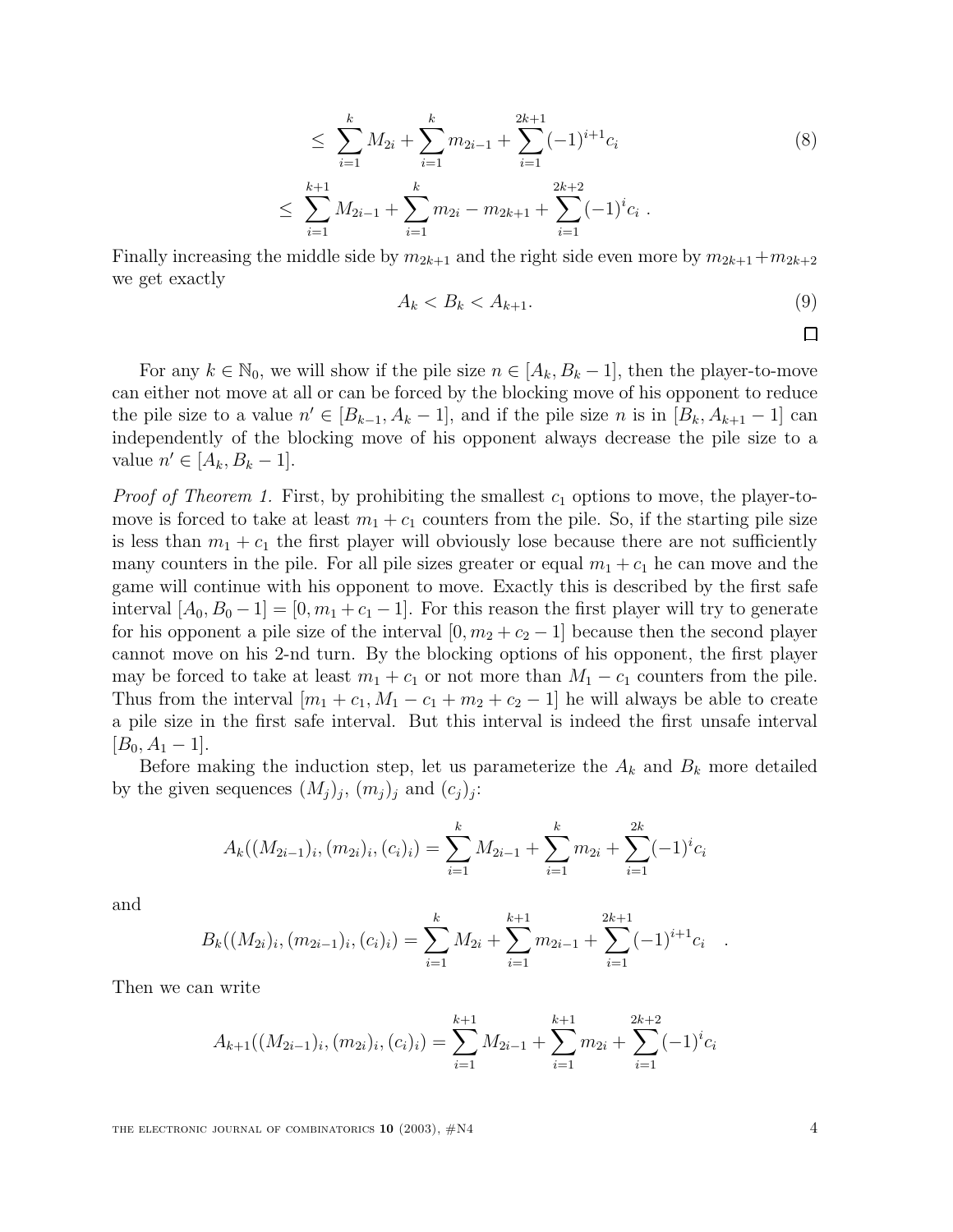$$
\leq \sum_{i=1}^{k} M_{2i} + \sum_{i=1}^{k} m_{2i-1} + \sum_{i=1}^{2k+1} (-1)^{i+1} c_i
$$
\n
$$
\leq \sum_{i=1}^{k+1} M_{2i-1} + \sum_{i=1}^{k} m_{2i} - m_{2k+1} + \sum_{i=1}^{2k+2} (-1)^{i} c_i.
$$
\n
$$
(8)
$$

Finally increasing the middle side by  $m_{2k+1}$  and the right side even more by  $m_{2k+1}+m_{2k+2}$ we get exactly

$$
A_k < B_k < A_{k+1}.\tag{9}
$$

For any  $k \in \mathbb{N}_0$ , we will show if the pile size  $n \in [A_k, B_k - 1]$ , then the player-to-move can either not move at all or can be forced by the blocking move of his opponent to reduce the pile size to a value  $n' \in [B_{k-1}, A_k - 1]$ , and if the pile size n is in  $[B_k, A_{k+1} - 1]$  can independently of the blocking move of his opponent always decrease the pile size to a value  $n' \in [A_k, B_k - 1].$ 

*Proof of Theorem 1.* First, by prohibiting the smallest  $c_1$  options to move, the player-tomove is forced to take at least  $m_1 + c_1$  counters from the pile. So, if the starting pile size is less than  $m_1 + c_1$  the first player will obviously lose because there are not sufficiently many counters in the pile. For all pile sizes greater or equal  $m_1 + c_1$  he can move and the game will continue with his opponent to move. Exactly this is described by the first safe interval  $[A_0, B_0 - 1] = [0, m_1 + c_1 - 1]$ . For this reason the first player will try to generate for his opponent a pile size of the interval  $[0, m_2 + c_2 - 1]$  because then the second player cannot move on his 2-nd turn. By the blocking options of his opponent, the first player may be forced to take at least  $m_1 + c_1$  or not more than  $M_1 - c_1$  counters from the pile. Thus from the interval  $[m_1 + c_1, M_1 - c_1 + m_2 + c_2 - 1]$  he will always be able to create a pile size in the first safe interval. But this interval is indeed the first unsafe interval  $[B_0, A_1 - 1].$ 

Before making the induction step, let us parameterize the  $A_k$  and  $B_k$  more detailed by the given sequences  $(M_j)_j$ ,  $(m_j)_j$  and  $(c_j)_j$ :

$$
A_k((M_{2i-1})_i, (m_{2i})_i, (c_i)_i) = \sum_{i=1}^k M_{2i-1} + \sum_{i=1}^k m_{2i} + \sum_{i=1}^{2k} (-1)^i c_i
$$

and

$$
B_k((M_{2i})_i, (m_{2i-1})_i, (c_i)_i) = \sum_{i=1}^k M_{2i} + \sum_{i=1}^{k+1} m_{2i-1} + \sum_{i=1}^{2k+1} (-1)^{i+1} c_i.
$$

Then we can write

$$
A_{k+1}((M_{2i-1})_i, (m_{2i})_i, (c_i)_i) = \sum_{i=1}^{k+1} M_{2i-1} + \sum_{i=1}^{k+1} m_{2i} + \sum_{i=1}^{2k+2} (-1)^i c_i
$$

THE ELECTRONIC JOURNAL OF COMBINATORICS  $10$  (2003),  $\#N4$   $4$ 

 $\Box$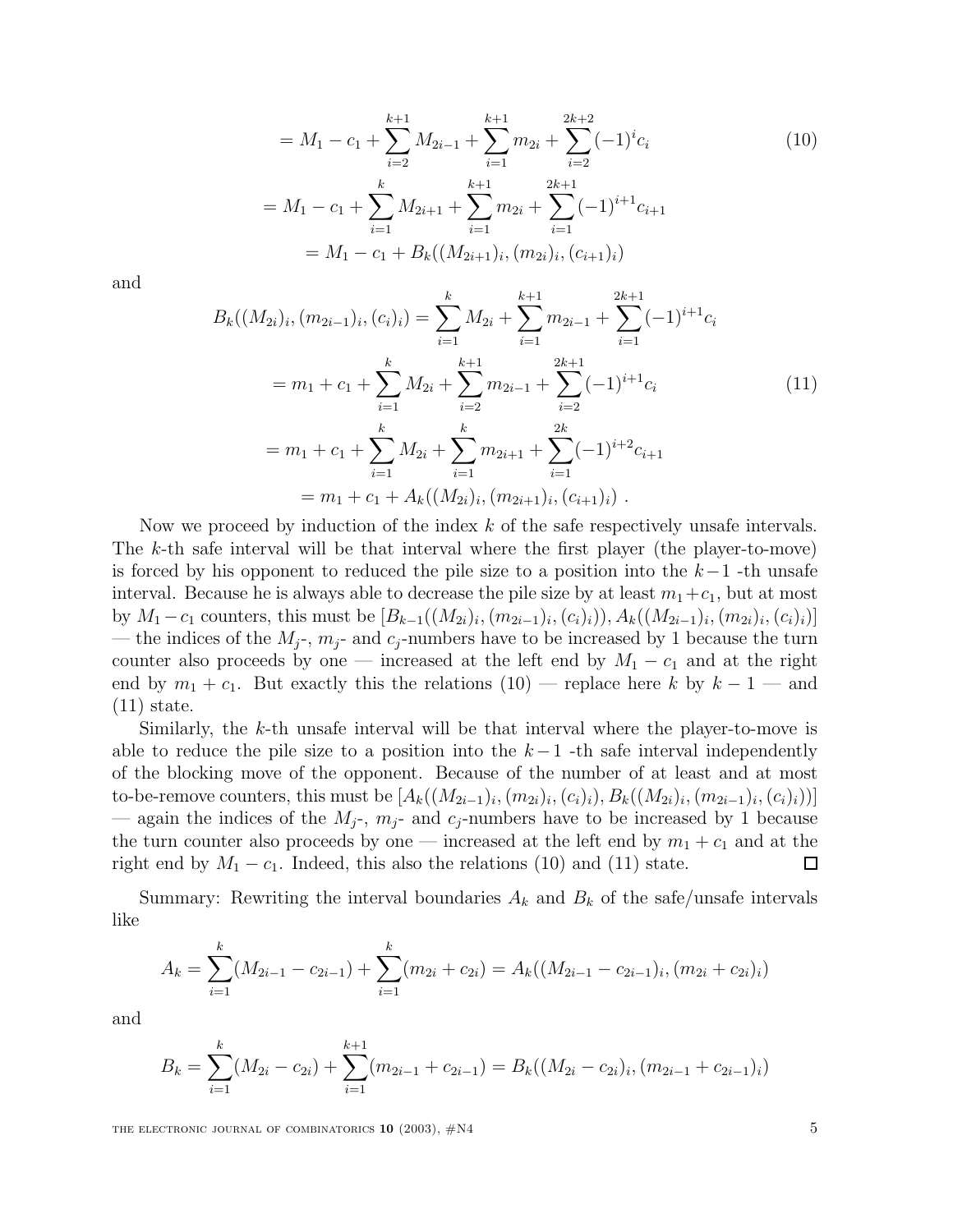$$
= M_1 - c_1 + \sum_{i=2}^{k+1} M_{2i-1} + \sum_{i=1}^{k+1} m_{2i} + \sum_{i=2}^{2k+2} (-1)^i c_i
$$
  
=  $M_1 - c_1 + \sum_{i=1}^k M_{2i+1} + \sum_{i=1}^{k+1} m_{2i} + \sum_{i=1}^{2k+1} (-1)^{i+1} c_{i+1}$   
=  $M_1 - c_1 + B_k((M_{2i+1})_i, (m_{2i})_i, (c_{i+1})_i)$  (10)

and

$$
B_k((M_{2i})_i, (m_{2i-1})_i, (c_i)_i) = \sum_{i=1}^k M_{2i} + \sum_{i=1}^{k+1} m_{2i-1} + \sum_{i=1}^{2k+1} (-1)^{i+1} c_i
$$
  
=  $m_1 + c_1 + \sum_{i=1}^k M_{2i} + \sum_{i=2}^{k+1} m_{2i-1} + \sum_{i=2}^{2k+1} (-1)^{i+1} c_i$  (11)  
=  $m_1 + c_1 + \sum_{i=1}^k M_{2i} + \sum_{i=1}^k m_{2i+1} + \sum_{i=1}^{2k} (-1)^{i+2} c_{i+1}$   
=  $m_1 + c_1 + A_k((M_{2i})_i, (m_{2i+1})_i, (c_{i+1})_i).$ 

Now we proceed by induction of the index  $k$  of the safe respectively unsafe intervals. The k-th safe interval will be that interval where the first player (the player-to-move) is forced by his opponent to reduced the pile size to a position into the  $k-1$  -th unsafe interval. Because he is always able to decrease the pile size by at least  $m_1+c_1$ , but at most by  $M_1 - c_1$  counters, this must be  $[B_{k-1}((M_{2i})_i,(m_{2i-1})_i,(c_i)_i)), A_k((M_{2i-1})_i,(m_{2i})_i,(c_i)_i)]$ — the indices of the  $M_j$ -,  $m_j$ - and  $c_j$ -numbers have to be increased by 1 because the turn counter also proceeds by one — increased at the left end by  $M_1 - c_1$  and at the right end by  $m_1 + c_1$ . But exactly this the relations  $(10)$  — replace here k by  $k-1$  — and (11) state.

Similarly, the  $k$ -th unsafe interval will be that interval where the player-to-move is able to reduce the pile size to a position into the  $k-1$  -th safe interval independently of the blocking move of the opponent. Because of the number of at least and at most to-be-remove counters, this must be  $[A_k((M_{2i-1})_i,(m_{2i})_i,(c_i)_i), B_k((M_{2i})_i,(m_{2i-1})_i,(c_i)_i))]$ — again the indices of the  $M_j$ -,  $m_j$ - and  $c_j$ -numbers have to be increased by 1 because the turn counter also proceeds by one — increased at the left end by  $m_1 + c_1$  and at the right end by  $M_1 - c_1$ . Indeed, this also the relations (10) and (11) state.  $\Box$ 

Summary: Rewriting the interval boundaries  $A_k$  and  $B_k$  of the safe/unsafe intervals like

$$
A_k = \sum_{i=1}^k (M_{2i-1} - c_{2i-1}) + \sum_{i=1}^k (m_{2i} + c_{2i}) = A_k((M_{2i-1} - c_{2i-1})_i, (m_{2i} + c_{2i})_i)
$$

and

$$
B_k = \sum_{i=1}^k (M_{2i} - c_{2i}) + \sum_{i=1}^{k+1} (m_{2i-1} + c_{2i-1}) = B_k((M_{2i} - c_{2i})_i, (m_{2i-1} + c_{2i-1})_i)
$$

THE ELECTRONIC JOURNAL OF COMBINATORICS  $10$  (2003),  $\#N4$  5